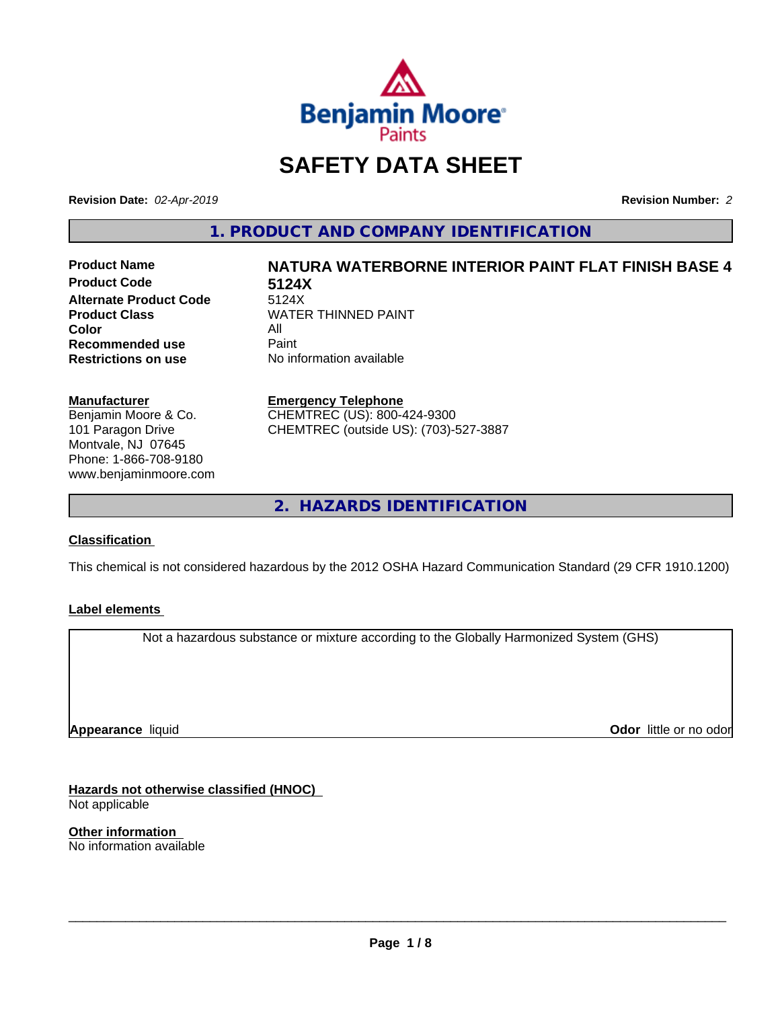

### **SAFETY DATA SHEET**

**Revision Date:** *02-Apr-2019* **Revision Number:** *2*

**1. PRODUCT AND COMPANY IDENTIFICATION**

**Product Code 5124X Alternate Product Code**<br>Product Class **Color** All All<br>**Recommended use** Paint **Recommended use**<br>Restrictions on use

# **Product Name NATURA WATERBORNE INTERIOR PAINT FLAT FINISH BASE 4**

**WATER THINNED PAINT No information available** 

#### **Manufacturer**

Benjamin Moore & Co. 101 Paragon Drive Montvale, NJ 07645 Phone: 1-866-708-9180 www.benjaminmoore.com

#### **Emergency Telephone**

CHEMTREC (US): 800-424-9300 CHEMTREC (outside US): (703)-527-3887

**2. HAZARDS IDENTIFICATION**

#### **Classification**

This chemical is not considered hazardous by the 2012 OSHA Hazard Communication Standard (29 CFR 1910.1200)

#### **Label elements**

Not a hazardous substance or mixture according to the Globally Harmonized System (GHS)

**Appearance** liquid

**Odor** little or no odor

**Hazards not otherwise classified (HNOC)** Not applicable

**Other information** No information available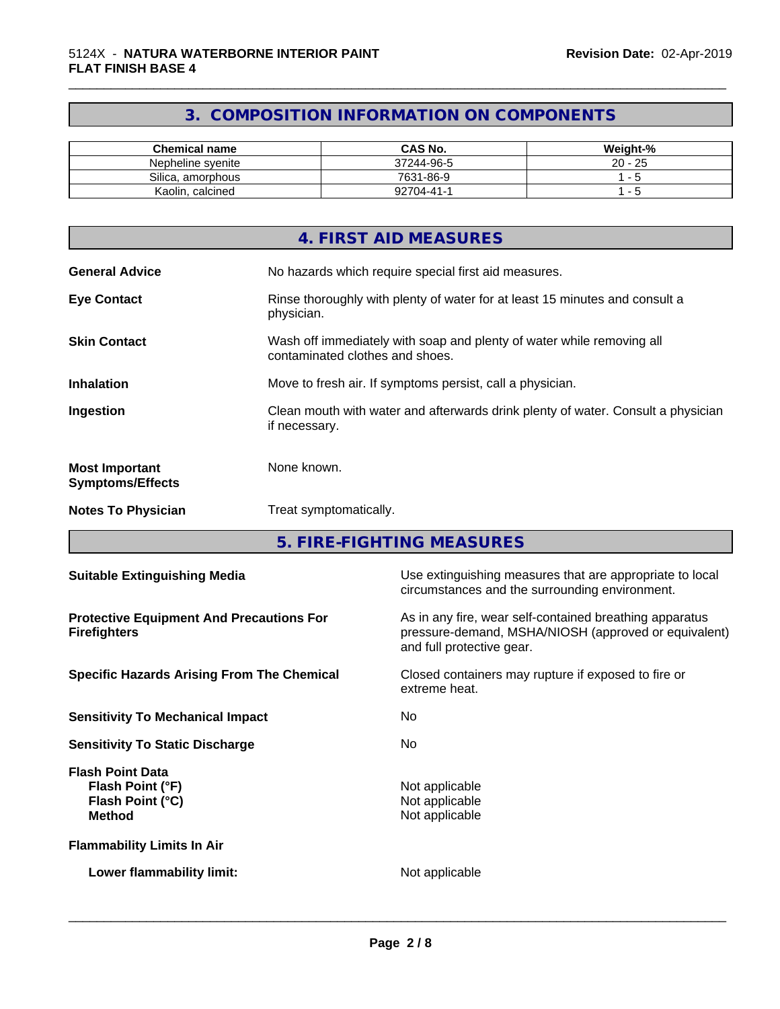### **3. COMPOSITION INFORMATION ON COMPONENTS**

\_\_\_\_\_\_\_\_\_\_\_\_\_\_\_\_\_\_\_\_\_\_\_\_\_\_\_\_\_\_\_\_\_\_\_\_\_\_\_\_\_\_\_\_\_\_\_\_\_\_\_\_\_\_\_\_\_\_\_\_\_\_\_\_\_\_\_\_\_\_\_\_\_\_\_\_\_\_\_\_\_\_\_\_\_\_\_\_\_\_\_\_\_

| <b>Chemical name</b> | <b>CAS No.</b> | Weight-%  |
|----------------------|----------------|-----------|
| Nepheline svenite    | 37244-96-5     | $20 - 25$ |
| Silica, amorphous    | 7631-86-9      |           |
| Kaolin, calcined     | 92704-41-1     |           |

|                                                  | 4. FIRST AID MEASURES                                                                                    |
|--------------------------------------------------|----------------------------------------------------------------------------------------------------------|
| <b>General Advice</b>                            | No hazards which require special first aid measures.                                                     |
| <b>Eye Contact</b>                               | Rinse thoroughly with plenty of water for at least 15 minutes and consult a<br>physician.                |
| <b>Skin Contact</b>                              | Wash off immediately with soap and plenty of water while removing all<br>contaminated clothes and shoes. |
| <b>Inhalation</b>                                | Move to fresh air. If symptoms persist, call a physician.                                                |
| Ingestion                                        | Clean mouth with water and afterwards drink plenty of water. Consult a physician<br>if necessary.        |
| <b>Most Important</b><br><b>Symptoms/Effects</b> | None known.                                                                                              |
| <b>Notes To Physician</b>                        | Treat symptomatically.                                                                                   |

**5. FIRE-FIGHTING MEASURES**

| <b>Suitable Extinguishing Media</b>                                              | Use extinguishing measures that are appropriate to local<br>circumstances and the surrounding environment.                                   |  |
|----------------------------------------------------------------------------------|----------------------------------------------------------------------------------------------------------------------------------------------|--|
| <b>Protective Equipment And Precautions For</b><br><b>Firefighters</b>           | As in any fire, wear self-contained breathing apparatus<br>pressure-demand, MSHA/NIOSH (approved or equivalent)<br>and full protective gear. |  |
| <b>Specific Hazards Arising From The Chemical</b>                                | Closed containers may rupture if exposed to fire or<br>extreme heat.                                                                         |  |
| <b>Sensitivity To Mechanical Impact</b>                                          | No.                                                                                                                                          |  |
| <b>Sensitivity To Static Discharge</b>                                           | No.                                                                                                                                          |  |
| <b>Flash Point Data</b><br>Flash Point (°F)<br>Flash Point (°C)<br><b>Method</b> | Not applicable<br>Not applicable<br>Not applicable                                                                                           |  |
| <b>Flammability Limits In Air</b>                                                |                                                                                                                                              |  |
| Lower flammability limit:                                                        | Not applicable                                                                                                                               |  |
|                                                                                  |                                                                                                                                              |  |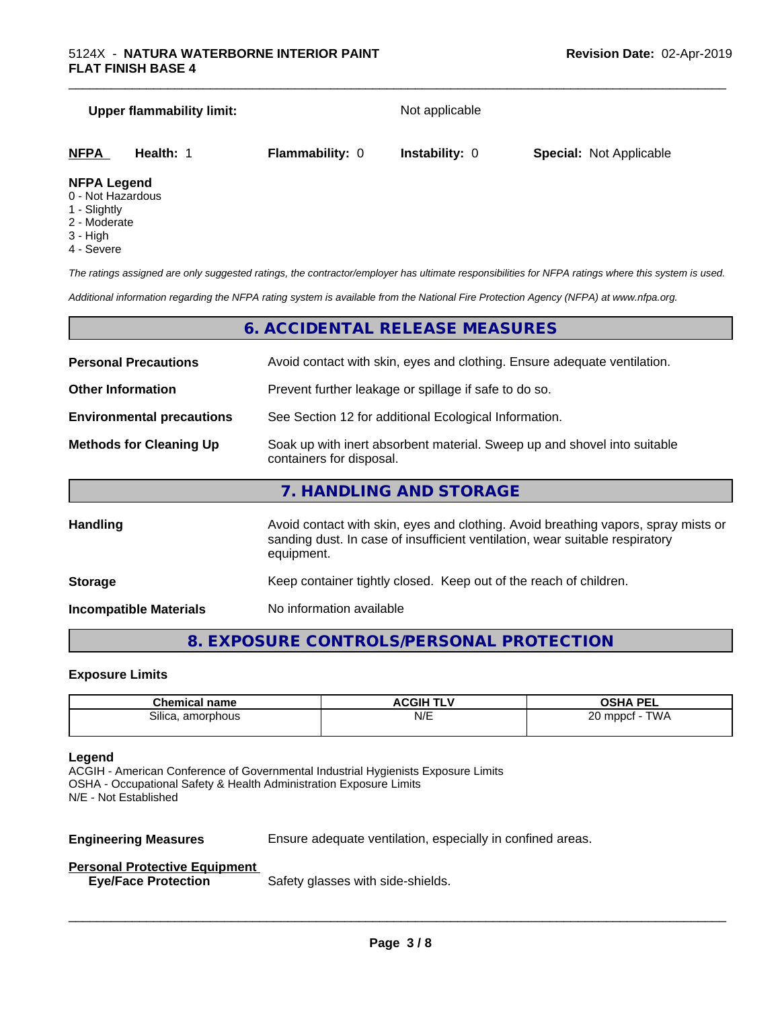## **Upper flammability limit:** Not applicable **NFPA Health:** 1 **Flammability:** 0 **Instability:** 0 **Special:** Not Applicable

#### **NFPA Legend**

- 0 Not Hazardous
- 1 Slightly
- 2 Moderate
- 3 High
- 4 Severe

*The ratings assigned are only suggested ratings, the contractor/employer has ultimate responsibilities for NFPA ratings where this system is used.*

*Additional information regarding the NFPA rating system is available from the National Fire Protection Agency (NFPA) at www.nfpa.org.*

#### **6. ACCIDENTAL RELEASE MEASURES**

| <b>Personal Precautions</b>      | Avoid contact with skin, eyes and clothing. Ensure adequate ventilation.                                                                                                         |  |
|----------------------------------|----------------------------------------------------------------------------------------------------------------------------------------------------------------------------------|--|
| <b>Other Information</b>         | Prevent further leakage or spillage if safe to do so.                                                                                                                            |  |
| <b>Environmental precautions</b> | See Section 12 for additional Ecological Information.                                                                                                                            |  |
| <b>Methods for Cleaning Up</b>   | Soak up with inert absorbent material. Sweep up and shovel into suitable<br>containers for disposal.                                                                             |  |
|                                  | 7. HANDLING AND STORAGE                                                                                                                                                          |  |
| <b>Handling</b>                  | Avoid contact with skin, eyes and clothing. Avoid breathing vapors, spray mists or<br>sanding dust. In case of insufficient ventilation, wear suitable respiratory<br>equipment. |  |
|                                  |                                                                                                                                                                                  |  |

**Storage** Keep container tightly closed. Keep out of the reach of children.

**Incompatible Materials** No information available

#### **8. EXPOSURE CONTROLS/PERSONAL PROTECTION**

#### **Exposure Limits**

| .:hemir<br>emical name | <b>ACGIH T' `</b> | <b>OSHA PEL</b>                  |
|------------------------|-------------------|----------------------------------|
| Silica.<br>amorphous   | N/E               | <b>TWA</b><br>חר<br>mppct<br>LV. |

#### **Legend**

ACGIH - American Conference of Governmental Industrial Hygienists Exposure Limits OSHA - Occupational Safety & Health Administration Exposure Limits N/E - Not Established

**Engineering Measures** Ensure adequate ventilation, especially in confined areas.

 $\overline{\phantom{a}}$  ,  $\overline{\phantom{a}}$  ,  $\overline{\phantom{a}}$  ,  $\overline{\phantom{a}}$  ,  $\overline{\phantom{a}}$  ,  $\overline{\phantom{a}}$  ,  $\overline{\phantom{a}}$  ,  $\overline{\phantom{a}}$  ,  $\overline{\phantom{a}}$  ,  $\overline{\phantom{a}}$  ,  $\overline{\phantom{a}}$  ,  $\overline{\phantom{a}}$  ,  $\overline{\phantom{a}}$  ,  $\overline{\phantom{a}}$  ,  $\overline{\phantom{a}}$  ,  $\overline{\phantom{a}}$ 

#### **Personal Protective Equipment**

**Eye/Face Protection** Safety glasses with side-shields.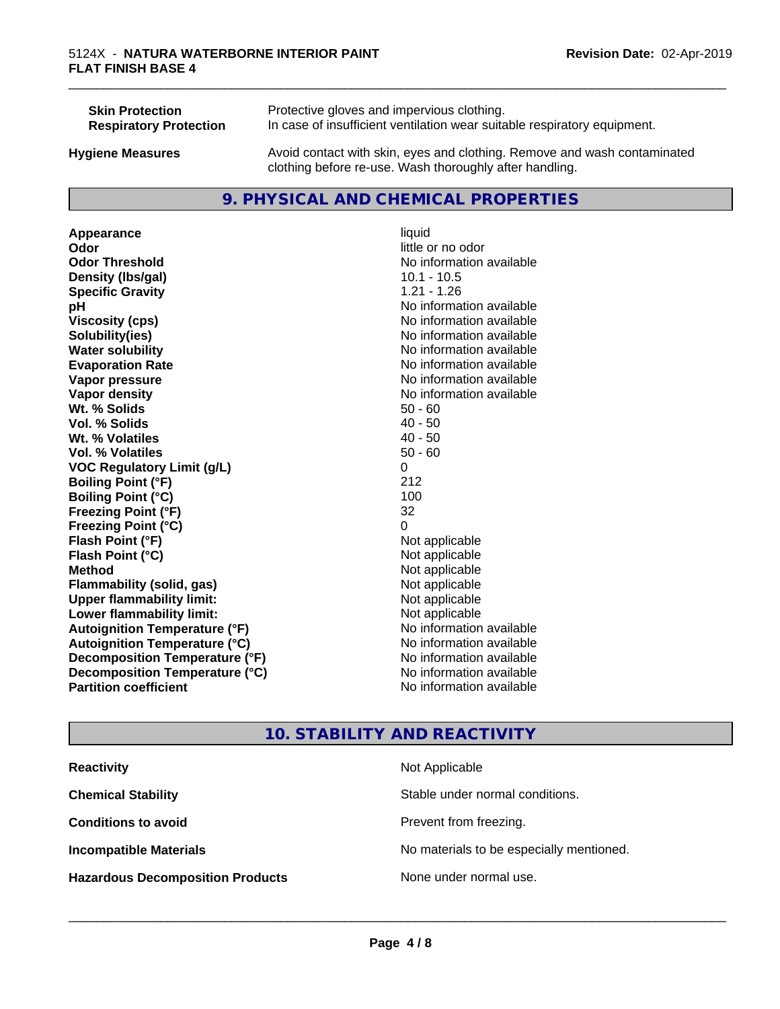| <b>Skin Protection</b>        | Protective gloves and impervious clothing.                                                                                          |
|-------------------------------|-------------------------------------------------------------------------------------------------------------------------------------|
| <b>Respiratory Protection</b> | In case of insufficient ventilation wear suitable respiratory equipment.                                                            |
| <b>Hygiene Measures</b>       | Avoid contact with skin, eyes and clothing. Remove and wash contaminated<br>clothing before re-use. Wash thoroughly after handling. |

#### **9. PHYSICAL AND CHEMICAL PROPERTIES**

**Appearance** liquid **Odor** little or no odor **Odor Threshold** No information available **Density (lbs/gal)** 10.1 - 10.5<br> **Specific Gravity** 1.21 - 1.26 **Specific Gravity pH pH**  $\blacksquare$ **Viscosity (cps)**  $\blacksquare$  No information available<br> **Solubility (ies)** Solubility (ies) **Water solubility** No information available **Evaporation Rate No information available No information available Vapor pressure** No information available **No information available Vapor density No information available No information available Wt. % Solids** 50 - 60<br> **Vol. % Solids** 50 - 60<br> **Vol. % Solids** 50 **Vol. % Solids W<sub>t.</sub>** % Volatiles 40 - 50 **Vol. % Volatiles** 50 - 60 **VOC Regulatory Limit (g/L)** 0 **Boiling Point (°F)** 212 **Boiling Point**  $(^{\circ}C)$  100 **Freezing Point (°F)** 32 **Freezing Point (°C)** 0 **Flash Point (°F) Flash Point (°C)** Not applicable **Method** Not applicable<br> **Flammability (solid, gas)** Not applicable Not applicable **Flammability** (solid, gas) **Upper flammability limit:**<br> **Lower flammability limit:** Not applicable Not applicable **Lower flammability limit:**<br> **Autoignition Temperature (°F)** Not applicable havailable **Autoignition Temperature (°F) Autoignition Temperature (°C)** No information available **Decomposition Temperature (°F)** No information available **Decomposition Temperature (°C)**<br> **Partition coefficient**<br> **Partition coefficient**<br> **No** information available

**Solubility(ies)** No information available **No information available** 

\_\_\_\_\_\_\_\_\_\_\_\_\_\_\_\_\_\_\_\_\_\_\_\_\_\_\_\_\_\_\_\_\_\_\_\_\_\_\_\_\_\_\_\_\_\_\_\_\_\_\_\_\_\_\_\_\_\_\_\_\_\_\_\_\_\_\_\_\_\_\_\_\_\_\_\_\_\_\_\_\_\_\_\_\_\_\_\_\_\_\_\_\_

### **10. STABILITY AND REACTIVITY**

| <b>Reactivity</b>                       | Not Applicable                           |
|-----------------------------------------|------------------------------------------|
| <b>Chemical Stability</b>               | Stable under normal conditions.          |
| <b>Conditions to avoid</b>              | Prevent from freezing.                   |
| <b>Incompatible Materials</b>           | No materials to be especially mentioned. |
| <b>Hazardous Decomposition Products</b> | None under normal use.                   |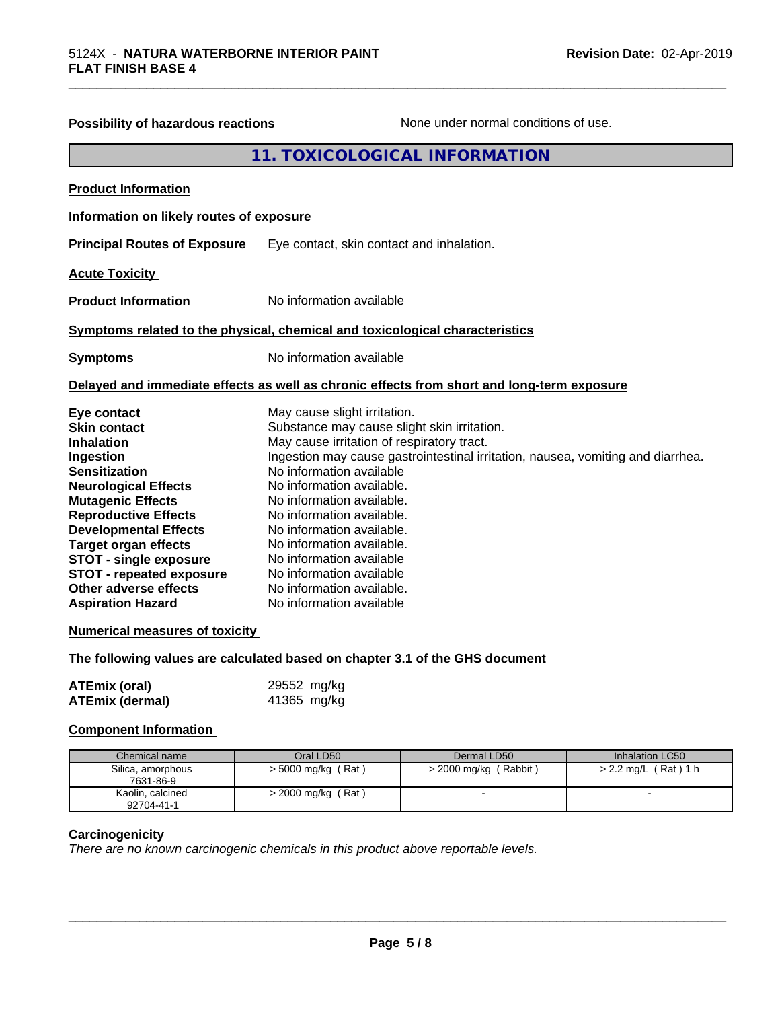| Possibility of hazardous reactions                                                                                                                                                                                                                                                                                                                                             | None under normal conditions of use.                                                                                                                                                                                                                                                                                                                                                                                                                                                                       |
|--------------------------------------------------------------------------------------------------------------------------------------------------------------------------------------------------------------------------------------------------------------------------------------------------------------------------------------------------------------------------------|------------------------------------------------------------------------------------------------------------------------------------------------------------------------------------------------------------------------------------------------------------------------------------------------------------------------------------------------------------------------------------------------------------------------------------------------------------------------------------------------------------|
|                                                                                                                                                                                                                                                                                                                                                                                | 11. TOXICOLOGICAL INFORMATION                                                                                                                                                                                                                                                                                                                                                                                                                                                                              |
| <b>Product Information</b>                                                                                                                                                                                                                                                                                                                                                     |                                                                                                                                                                                                                                                                                                                                                                                                                                                                                                            |
| Information on likely routes of exposure                                                                                                                                                                                                                                                                                                                                       |                                                                                                                                                                                                                                                                                                                                                                                                                                                                                                            |
| <b>Principal Routes of Exposure</b>                                                                                                                                                                                                                                                                                                                                            | Eye contact, skin contact and inhalation.                                                                                                                                                                                                                                                                                                                                                                                                                                                                  |
| <b>Acute Toxicity</b>                                                                                                                                                                                                                                                                                                                                                          |                                                                                                                                                                                                                                                                                                                                                                                                                                                                                                            |
| <b>Product Information</b>                                                                                                                                                                                                                                                                                                                                                     | No information available                                                                                                                                                                                                                                                                                                                                                                                                                                                                                   |
|                                                                                                                                                                                                                                                                                                                                                                                | Symptoms related to the physical, chemical and toxicological characteristics                                                                                                                                                                                                                                                                                                                                                                                                                               |
|                                                                                                                                                                                                                                                                                                                                                                                |                                                                                                                                                                                                                                                                                                                                                                                                                                                                                                            |
| <b>Symptoms</b>                                                                                                                                                                                                                                                                                                                                                                | No information available                                                                                                                                                                                                                                                                                                                                                                                                                                                                                   |
|                                                                                                                                                                                                                                                                                                                                                                                | Delayed and immediate effects as well as chronic effects from short and long-term exposure                                                                                                                                                                                                                                                                                                                                                                                                                 |
| Eye contact<br><b>Skin contact</b><br><b>Inhalation</b><br>Ingestion<br><b>Sensitization</b><br><b>Neurological Effects</b><br><b>Mutagenic Effects</b><br><b>Reproductive Effects</b><br><b>Developmental Effects</b><br><b>Target organ effects</b><br><b>STOT - single exposure</b><br><b>STOT - repeated exposure</b><br>Other adverse effects<br><b>Aspiration Hazard</b> | May cause slight irritation.<br>Substance may cause slight skin irritation.<br>May cause irritation of respiratory tract.<br>Ingestion may cause gastrointestinal irritation, nausea, vomiting and diarrhea.<br>No information available<br>No information available.<br>No information available.<br>No information available.<br>No information available.<br>No information available.<br>No information available<br>No information available<br>No information available.<br>No information available |
| <b>Numerical measures of toxicity</b>                                                                                                                                                                                                                                                                                                                                          |                                                                                                                                                                                                                                                                                                                                                                                                                                                                                                            |
|                                                                                                                                                                                                                                                                                                                                                                                | The following values are calculated based on chapter 3.1 of the GHS document                                                                                                                                                                                                                                                                                                                                                                                                                               |
| <b>ATEmix (oral)</b><br><b>ATEmix (dermal)</b>                                                                                                                                                                                                                                                                                                                                 | 29552 mg/kg<br>41365 mg/kg                                                                                                                                                                                                                                                                                                                                                                                                                                                                                 |
| <b>Component Information</b>                                                                                                                                                                                                                                                                                                                                                   |                                                                                                                                                                                                                                                                                                                                                                                                                                                                                                            |

\_\_\_\_\_\_\_\_\_\_\_\_\_\_\_\_\_\_\_\_\_\_\_\_\_\_\_\_\_\_\_\_\_\_\_\_\_\_\_\_\_\_\_\_\_\_\_\_\_\_\_\_\_\_\_\_\_\_\_\_\_\_\_\_\_\_\_\_\_\_\_\_\_\_\_\_\_\_\_\_\_\_\_\_\_\_\_\_\_\_\_\_\_

#### Chemical name **Chamical 1** Oral LD50 **Dermal LD50** Inhalation LC50 Silica, amorphous <br>  $\vert$  > 5000 mg/kg (Rat) 7631-86-9 > 2000 mg/kg ( Rabbit ) > 2.2 mg/L ( Rat ) 1 h Kaolin, calcined 92704-41-1 > 2000 mg/kg (Rat) and a set of the set of the set of the set of the set of the set of the set of the set of the set of the set of the set of the set of the set of the set of the set of the set of the set of the set of the

#### **Carcinogenicity**

*There are no known carcinogenic chemicals in this product above reportable levels.*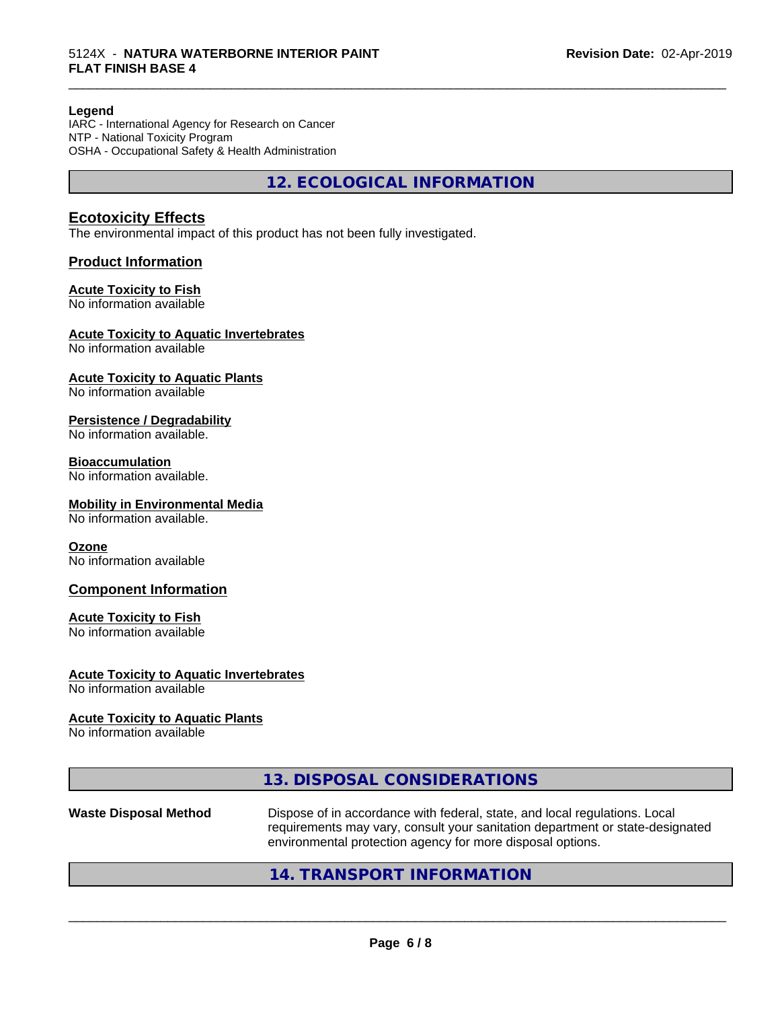#### **Legend**

IARC - International Agency for Research on Cancer NTP - National Toxicity Program OSHA - Occupational Safety & Health Administration

**12. ECOLOGICAL INFORMATION**

\_\_\_\_\_\_\_\_\_\_\_\_\_\_\_\_\_\_\_\_\_\_\_\_\_\_\_\_\_\_\_\_\_\_\_\_\_\_\_\_\_\_\_\_\_\_\_\_\_\_\_\_\_\_\_\_\_\_\_\_\_\_\_\_\_\_\_\_\_\_\_\_\_\_\_\_\_\_\_\_\_\_\_\_\_\_\_\_\_\_\_\_\_

#### **Ecotoxicity Effects**

The environmental impact of this product has not been fully investigated.

#### **Product Information**

#### **Acute Toxicity to Fish**

No information available

#### **Acute Toxicity to Aquatic Invertebrates**

No information available

#### **Acute Toxicity to Aquatic Plants**

No information available

#### **Persistence / Degradability**

No information available.

#### **Bioaccumulation**

No information available.

#### **Mobility in Environmental Media**

No information available.

#### **Ozone**

No information available

#### **Component Information**

#### **Acute Toxicity to Fish**

No information available

#### **Acute Toxicity to Aquatic Invertebrates**

No information available

#### **Acute Toxicity to Aquatic Plants**

No information available

|                              | 13. DISPOSAL CONSIDERATIONS                                                                                                                                                                                                                                                                                                                                                          |
|------------------------------|--------------------------------------------------------------------------------------------------------------------------------------------------------------------------------------------------------------------------------------------------------------------------------------------------------------------------------------------------------------------------------------|
| <b>Waste Disposal Method</b> | Dispose of in accordance with federal, state, and local regulations. Local<br>requirements may vary, consult your sanitation department or state-designated<br>environmental protection agency for more disposal options.                                                                                                                                                            |
|                              | $\overline{1}$ $\overline{1}$ $\overline{1}$ $\overline{1}$ $\overline{1}$ $\overline{1}$ $\overline{1}$ $\overline{1}$ $\overline{1}$ $\overline{1}$ $\overline{1}$ $\overline{1}$ $\overline{1}$ $\overline{1}$ $\overline{1}$ $\overline{1}$ $\overline{1}$ $\overline{1}$ $\overline{1}$ $\overline{1}$ $\overline{1}$ $\overline{1}$ $\overline{1}$ $\overline{1}$ $\overline{$ |

#### **14. TRANSPORT INFORMATION**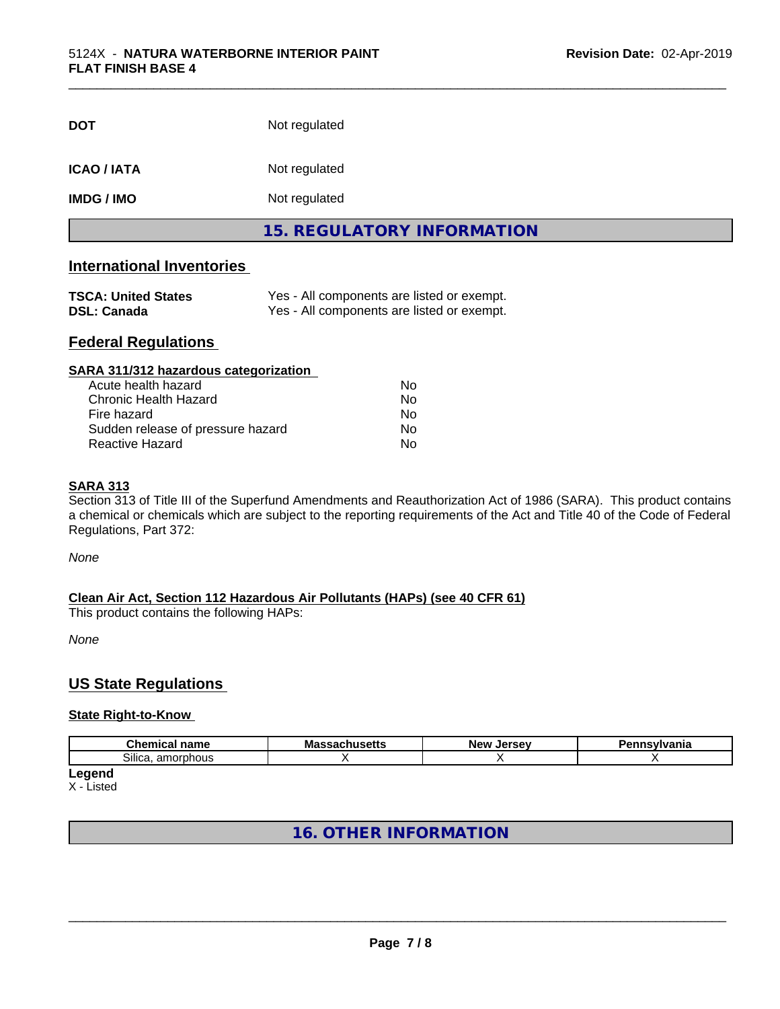| <b>DOT</b>         | Not regulated                     |  |
|--------------------|-----------------------------------|--|
| <b>ICAO / IATA</b> | Not regulated                     |  |
| <b>IMDG/IMO</b>    | Not regulated                     |  |
|                    | <b>15. REGULATORY INFORMATION</b> |  |

\_\_\_\_\_\_\_\_\_\_\_\_\_\_\_\_\_\_\_\_\_\_\_\_\_\_\_\_\_\_\_\_\_\_\_\_\_\_\_\_\_\_\_\_\_\_\_\_\_\_\_\_\_\_\_\_\_\_\_\_\_\_\_\_\_\_\_\_\_\_\_\_\_\_\_\_\_\_\_\_\_\_\_\_\_\_\_\_\_\_\_\_\_

#### **International Inventories**

| <b>TSCA: United States</b> | Yes - All components are listed or exempt. |
|----------------------------|--------------------------------------------|
| <b>DSL: Canada</b>         | Yes - All components are listed or exempt. |

#### **Federal Regulations**

| SARA 311/312 hazardous categorization |    |  |
|---------------------------------------|----|--|
| Acute health hazard                   | Nο |  |
| Chronic Health Hazard                 | No |  |
| Fire hazard                           | No |  |
| Sudden release of pressure hazard     | No |  |
| Reactive Hazard                       | No |  |

#### **SARA 313**

Section 313 of Title III of the Superfund Amendments and Reauthorization Act of 1986 (SARA). This product contains a chemical or chemicals which are subject to the reporting requirements of the Act and Title 40 of the Code of Federal Regulations, Part 372:

*None*

#### **Clean Air Act,Section 112 Hazardous Air Pollutants (HAPs) (see 40 CFR 61)**

This product contains the following HAPs:

*None*

#### **US State Regulations**

#### **State Right-to-Know**

| $\sim$<br>---<br>-----<br>uner –<br>name | IVIO<br>--<br> | $\cdots$<br>Ne)<br><br>-- | . |
|------------------------------------------|----------------|---------------------------|---|
| -<br>Silica.<br>am<br>`^rɒhou.<br>.      |                |                           |   |

**Legend** X - Listed

#### **16. OTHER INFORMATION**